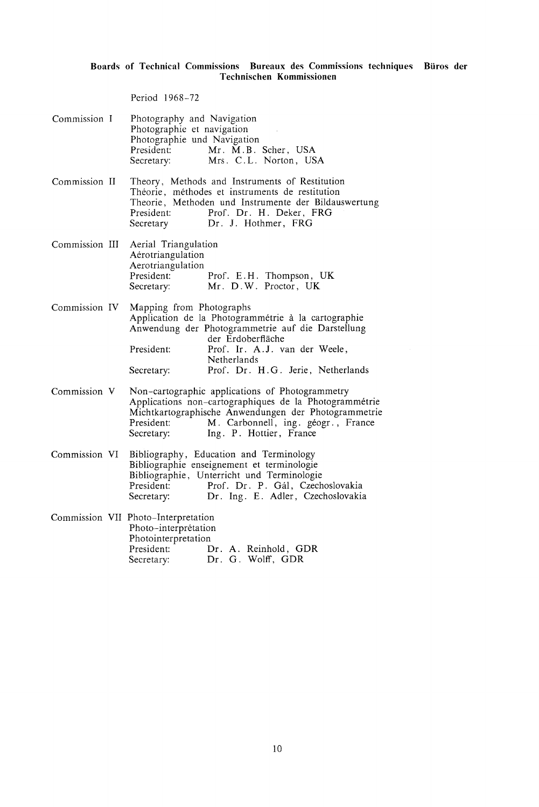## Boards of Technical Commissions Bureaux des Commissions techniques Btiros der Technischen Kommissionen

Period 1968-72

| Commission I   | Photography and Navigation<br>Photographie et navigation<br>Photographie und Navigation<br>President:<br>Mr. M.B. Scher, USA<br>Mrs. C.L. Norton, USA<br>Secretary:                                                                                                        |
|----------------|----------------------------------------------------------------------------------------------------------------------------------------------------------------------------------------------------------------------------------------------------------------------------|
| Commission II  | Theory, Methods and Instruments of Restitution<br>Théorie, méthodes et instruments de restitution<br>Theorie, Methoden und Instrumente der Bildauswertung<br>Prof. Dr. H. Deker, FRG<br>President:<br>Secretary Dr. J. Hothmer, FRG                                        |
| Commission III | Aerial Triangulation<br>Aérotriangulation<br>Aerotriangulation<br>President: Prof. E.H. Thompson, UK<br>Secretary: Mr. D.W. Proctor, UK                                                                                                                                    |
| Commission IV  | Mapping from Photographs<br>Application de la Photogrammétrie à la cartographie<br>Anwendung der Photogrammetrie auf die Darstellung<br>der Erdoberfläche<br>President:<br>Prof. Ir. A.J. van der Weele,<br>Netherlands<br>Prof. Dr. H.G. Jerie, Netherlands<br>Secretary: |
| Commission V   | Non-cartographic applications of Photogrammetry<br>Applications non-cartographiques de la Photogrammétrie<br>Michtkartographische Anwendungen der Photogrammetrie<br>M. Carbonnell, ing. géogr., France<br>President:<br>Ing. P. Hottier, France<br>Secretary:             |
| Commission VI  | Bibliography, Education and Terminology<br>Bibliographie enseignement et terminologie<br>Bibliographie, Unterricht und Terminologie<br>Prof. Dr. P. Gál, Czechoslovakia<br>President:<br>Secretary:<br>Dr. Ing. E. Adler, Czechoslovakia                                   |
|                | Commission VII Photo-Interpretation<br>Photo-interprétation<br>Photointerpretation<br>President:<br>Dr. A. Reinhold, GDR<br>Dr. G. Wolff, GDR<br>Secretary:                                                                                                                |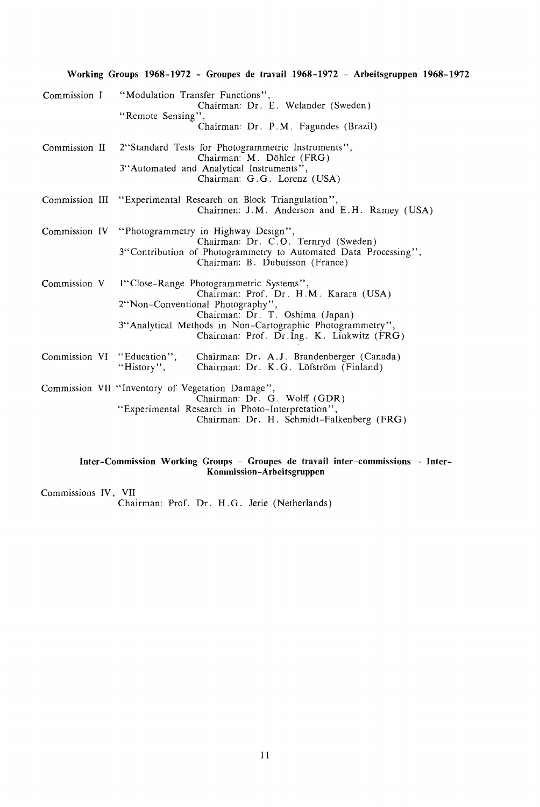|              | Working Groups 1968-1972 - Groupes de travail 1968-1972 - Arbeitsgruppen 1968-1972                                                                    |                                                                                                                       |  |  |  |
|--------------|-------------------------------------------------------------------------------------------------------------------------------------------------------|-----------------------------------------------------------------------------------------------------------------------|--|--|--|
| Commission I | "Modulation Transfer Functions",<br>"Remote Sensing",                                                                                                 | Chairman: Dr. E. Welander (Sweden)<br>Chairman: Dr. P.M. Fagundes (Brazil)                                            |  |  |  |
|              | Commission II 2"Standard Tests for Photogrammetric Instruments",<br>3"Automated and Analytical Instruments",                                          | Chairman: M. Döhler (FRG)<br>Chairman: G.G. Lorenz (USA)                                                              |  |  |  |
|              | Commission III "Experimental Research on Block Triangulation",                                                                                        | Chairmen: J.M. Anderson and E.H. Ramey (USA)                                                                          |  |  |  |
|              | Commission IV "Photogrammetry in Highway Design",<br>3"Contribution of Photogrammetry to Automated Data Processing",                                  | Chairman: Dr. C.O. Ternryd (Sweden)<br>Chairman: B. Dubuisson (France)                                                |  |  |  |
|              | Commission V 1"Close-Range Photogrammetric Systems",<br>2"Non-Conventional Photography",<br>3"Analytical Methods in Non-Cartographic Photogrammetry", | Chairman: Prof. Dr. H.M. Karara (USA)<br>Chairman: Dr. T. Oshima (Japan)<br>Chairman: Prof. Dr.Ing. K. Linkwitz (FRG) |  |  |  |
|              | Commission VI "Education", Chairman: Dr. A.J. Brandenberger (Canada)<br>"History", Chairman: Dr. K.G. Löfström (Finland)                              |                                                                                                                       |  |  |  |
|              | Commission VII "Inventory of Vegetation Damage",<br>"Experimental Research in Photo-Interpretation",                                                  | Chairman: Dr. G. Wolff (GDR)<br>Chairman: Dr. H. Schmidt-Falkenberg (FRG)                                             |  |  |  |

## Inter-Commission Working Groups - Groupes de travail inter-commissions - Inter-Kommission-Arbeitsgruppen

Commissions IV , VII

Chairman: Prof. Dr. H. G. Jerie (Netherlands)